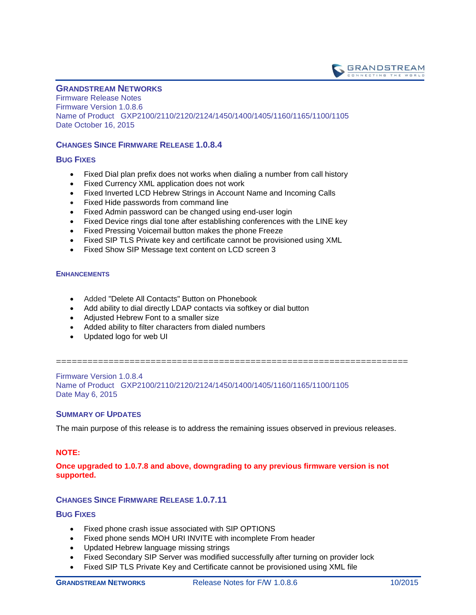

## **GRANDSTREAM NETWORKS**

Firmware Release Notes Firmware Version 1.0.8.6 Name of Product GXP2100/2110/2120/2124/1450/1400/1405/1160/1165/1100/1105 Date October 16, 2015

## **CHANGES SINCE FIRMWARE RELEASE 1.0.8.4**

## **BUG FIXES**

- Fixed Dial plan prefix does not works when dialing a number from call history
- Fixed Currency XML application does not work
- Fixed Inverted LCD Hebrew Strings in Account Name and Incoming Calls
- Fixed Hide passwords from command line
- Fixed Admin password can be changed using end-user login
- Fixed Device rings dial tone after establishing conferences with the LINE key
- Fixed Pressing Voicemail button makes the phone Freeze
- Fixed SIP TLS Private key and certificate cannot be provisioned using XML
- Fixed Show SIP Message text content on LCD screen 3

# **ENHANCEMENTS**

- Added "Delete All Contacts" Button on Phonebook
- Add ability to dial directly LDAP contacts via softkey or dial button
- Adjusted Hebrew Font to a smaller size
- Added ability to filter characters from dialed numbers
- Updated logo for web UI

===================================================================

Firmware Version 1.0.8.4 Name of Product GXP2100/2110/2120/2124/1450/1400/1405/1160/1165/1100/1105 Date May 6, 2015

## **SUMMARY OF UPDATES**

The main purpose of this release is to address the remaining issues observed in previous releases.

## **NOTE:**

### **Once upgraded to 1.0.7.8 and above, downgrading to any previous firmware version is not supported.**

# **CHANGES SINCE FIRMWARE RELEASE 1.0.7.11**

- Fixed phone crash issue associated with SIP OPTIONS
- Fixed phone sends MOH URI INVITE with incomplete From header
- Updated Hebrew language missing strings
- Fixed Secondary SIP Server was modified successfully after turning on provider lock
- Fixed SIP TLS Private Key and Certificate cannot be provisioned using XML file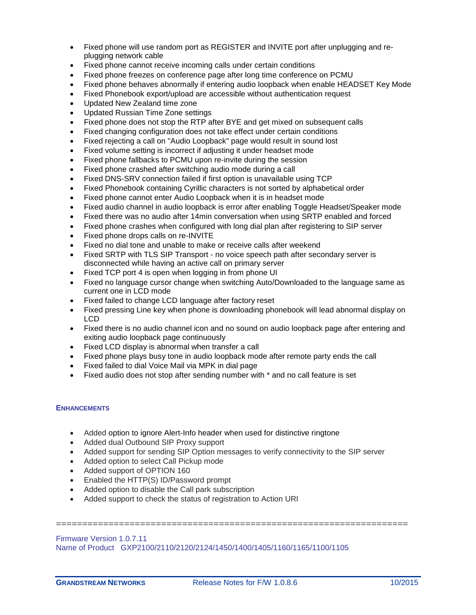- Fixed phone will use random port as REGISTER and INVITE port after unplugging and replugging network cable
- Fixed phone cannot receive incoming calls under certain conditions
- Fixed phone freezes on conference page after long time conference on PCMU
- Fixed phone behaves abnormally if entering audio loopback when enable HEADSET Key Mode
- Fixed Phonebook export/upload are accessible without authentication request
- Updated New Zealand time zone
- Updated Russian Time Zone settings
- Fixed phone does not stop the RTP after BYE and get mixed on subsequent calls
- Fixed changing configuration does not take effect under certain conditions
- Fixed rejecting a call on "Audio Loopback" page would result in sound lost
- Fixed volume setting is incorrect if adjusting it under headset mode
- Fixed phone fallbacks to PCMU upon re-invite during the session
- Fixed phone crashed after switching audio mode during a call
- Fixed DNS-SRV connection failed if first option is unavailable using TCP
- Fixed Phonebook containing Cyrillic characters is not sorted by alphabetical order
- Fixed phone cannot enter Audio Loopback when it is in headset mode
- Fixed audio channel in audio loopback is error after enabling Toggle Headset/Speaker mode
- Fixed there was no audio after 14min conversation when using SRTP enabled and forced
- Fixed phone crashes when configured with long dial plan after registering to SIP server
- Fixed phone drops calls on re-INVITE
- Fixed no dial tone and unable to make or receive calls after weekend
- Fixed SRTP with TLS SIP Transport no voice speech path after secondary server is disconnected while having an active call on primary server
- Fixed TCP port 4 is open when logging in from phone UI
- Fixed no language cursor change when switching Auto/Downloaded to the language same as current one in LCD mode
- Fixed failed to change LCD language after factory reset
- Fixed pressing Line key when phone is downloading phonebook will lead abnormal display on LCD
- Fixed there is no audio channel icon and no sound on audio loopback page after entering and exiting audio loopback page continuously
- Fixed LCD display is abnormal when transfer a call
- Fixed phone plays busy tone in audio loopback mode after remote party ends the call
- Fixed failed to dial Voice Mail via MPK in dial page
- Fixed audio does not stop after sending number with \* and no call feature is set

- Added option to ignore Alert-Info header when used for distinctive ringtone
- Added dual Outbound SIP Proxy support
- Added support for sending SIP Option messages to verify connectivity to the SIP server

===================================================================

- Added option to select Call Pickup mode
- Added support of OPTION 160
- Enabled the HTTP(S) ID/Password prompt
- Added option to disable the Call park subscription
- Added support to check the status of registration to Action URI

## Firmware Version 1.0.7.11 Name of Product GXP2100/2110/2120/2124/1450/1400/1405/1160/1165/1100/1105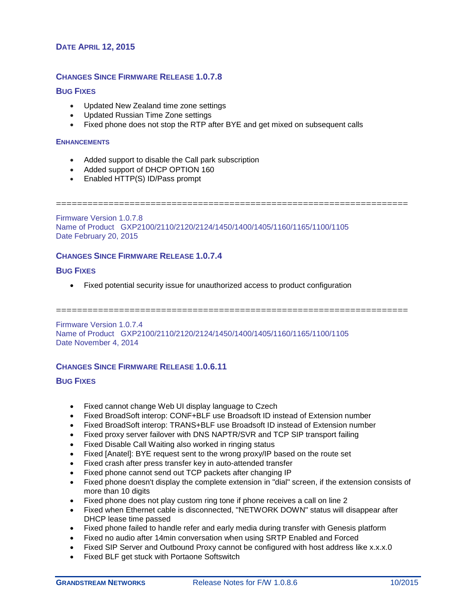## **DATE APRIL 12, 2015**

## **CHANGES SINCE FIRMWARE RELEASE 1.0.7.8**

## **BUG FIXES**

- Updated New Zealand time zone settings
- Updated Russian Time Zone settings
- Fixed phone does not stop the RTP after BYE and get mixed on subsequent calls

#### **ENHANCEMENTS**

- Added support to disable the Call park subscription
- Added support of DHCP OPTION 160
- Enabled HTTP(S) ID/Pass prompt

===================================================================

Firmware Version 1.0.7.8 Name of Product GXP2100/2110/2120/2124/1450/1400/1405/1160/1165/1100/1105 Date February 20, 2015

## **CHANGES SINCE FIRMWARE RELEASE 1.0.7.4**

## **BUG FIXES**

Fixed potential security issue for unauthorized access to product configuration

===================================================================

Firmware Version 1.0.7.4 Name of Product GXP2100/2110/2120/2124/1450/1400/1405/1160/1165/1100/1105 Date November 4, 2014

### **CHANGES SINCE FIRMWARE RELEASE 1.0.6.11**

- Fixed cannot change Web UI display language to Czech
- Fixed BroadSoft interop: CONF+BLF use Broadsoft ID instead of Extension number
- Fixed BroadSoft interop: TRANS+BLF use Broadsoft ID instead of Extension number
- Fixed proxy server failover with DNS NAPTR/SVR and TCP SIP transport failing
- Fixed Disable Call Waiting also worked in ringing status
- Fixed [Anatel]: BYE request sent to the wrong proxy/IP based on the route set
- Fixed crash after press transfer key in auto-attended transfer
- Fixed phone cannot send out TCP packets after changing IP
- Fixed phone doesn't display the complete extension in "dial" screen, if the extension consists of more than 10 digits
- Fixed phone does not play custom ring tone if phone receives a call on line 2
- Fixed when Ethernet cable is disconnected, "NETWORK DOWN" status will disappear after DHCP lease time passed
- Fixed phone failed to handle refer and early media during transfer with Genesis platform
- Fixed no audio after 14min conversation when using SRTP Enabled and Forced
- Fixed SIP Server and Outbound Proxy cannot be configured with host address like x.x.x.0
- Fixed BLF get stuck with Portaone Softswitch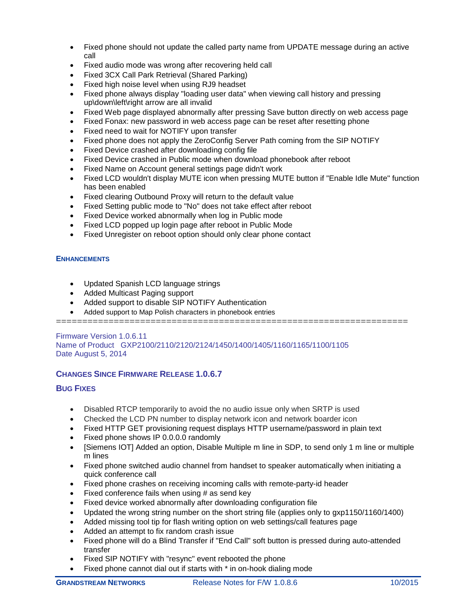- Fixed phone should not update the called party name from UPDATE message during an active call
- Fixed audio mode was wrong after recovering held call
- Fixed 3CX Call Park Retrieval (Shared Parking)
- Fixed high noise level when using RJ9 headset
- Fixed phone always display "loading user data" when viewing call history and pressing up\down\left\right arrow are all invalid
- Fixed Web page displayed abnormally after pressing Save button directly on web access page
- Fixed Fonax: new password in web access page can be reset after resetting phone
- Fixed need to wait for NOTIFY upon transfer
- Fixed phone does not apply the ZeroConfig Server Path coming from the SIP NOTIFY
- Fixed Device crashed after downloading config file
- Fixed Device crashed in Public mode when download phonebook after reboot
- Fixed Name on Account general settings page didn't work
- Fixed LCD wouldn't display MUTE icon when pressing MUTE button if "Enable Idle Mute" function has been enabled
- Fixed clearing Outbound Proxy will return to the default value
- Fixed Setting public mode to "No" does not take effect after reboot
- Fixed Device worked abnormally when log in Public mode
- Fixed LCD popped up login page after reboot in Public Mode
- Fixed Unregister on reboot option should only clear phone contact

- Updated Spanish LCD language strings
- Added Multicast Paging support
- Added support to disable SIP NOTIFY Authentication
- Added support to Map Polish characters in phonebook entries

===================================================================

Firmware Version 1.0.6.11 Name of Product GXP2100/2110/2120/2124/1450/1400/1405/1160/1165/1100/1105 Date August 5, 2014

## **CHANGES SINCE FIRMWARE RELEASE 1.0.6.7**

- Disabled RTCP temporarily to avoid the no audio issue only when SRTP is used
- Checked the LCD PN number to display network icon and network boarder icon
- Fixed HTTP GET provisioning request displays HTTP username/password in plain text
- Fixed phone shows IP 0.0.0.0 randomly
- [Siemens IOT] Added an option, Disable Multiple m line in SDP, to send only 1 m line or multiple m lines
- Fixed phone switched audio channel from handset to speaker automatically when initiating a quick conference call
- Fixed phone crashes on receiving incoming calls with remote-party-id header
- Fixed conference fails when using # as send key
- Fixed device worked abnormally after downloading configuration file
- Updated the wrong string number on the short string file (applies only to gxp1150/1160/1400)
- Added missing tool tip for flash writing option on web settings/call features page
- Added an attempt to fix random crash issue
- Fixed phone will do a Blind Transfer if "End Call" soft button is pressed during auto-attended transfer
- Fixed SIP NOTIFY with "resync" event rebooted the phone
- Fixed phone cannot dial out if starts with \* in on-hook dialing mode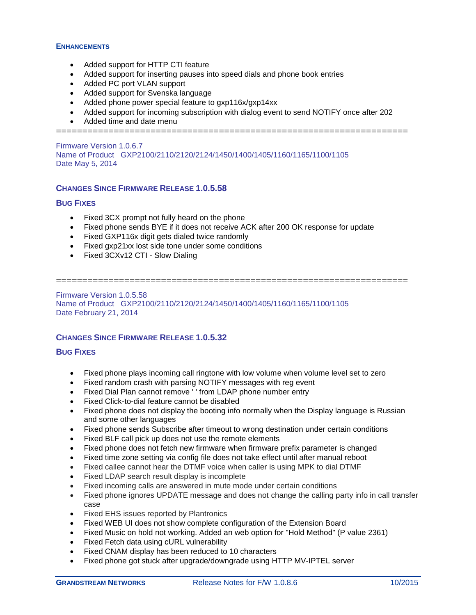- Added support for HTTP CTI feature
- Added support for inserting pauses into speed dials and phone book entries
- Added PC port VLAN support
- Added support for Svenska language
- Added phone power special feature to gxp116x/gxp14xx
- Added support for incoming subscription with dialog event to send NOTIFY once after 202
- Added time and date menu

===================================================================

Firmware Version 1.0.6.7 Name of Product GXP2100/2110/2120/2124/1450/1400/1405/1160/1165/1100/1105 Date May 5, 2014

# **CHANGES SINCE FIRMWARE RELEASE 1.0.5.58**

## **BUG FIXES**

- Fixed 3CX prompt not fully heard on the phone
- Fixed phone sends BYE if it does not receive ACK after 200 OK response for update
- Fixed GXP116x digit gets dialed twice randomly
- Fixed gxp21xx lost side tone under some conditions
- Fixed 3CXv12 CTI Slow Dialing

=================================================================== Firmware Version 1.0.5.58

Name of Product GXP2100/2110/2120/2124/1450/1400/1405/1160/1165/1100/1105 Date February 21, 2014

# **CHANGES SINCE FIRMWARE RELEASE 1.0.5.32**

- Fixed phone plays incoming call ringtone with low volume when volume level set to zero
- Fixed random crash with parsing NOTIFY messages with reg event
- Fixed Dial Plan cannot remove '' from LDAP phone number entry
- Fixed Click-to-dial feature cannot be disabled
- Fixed phone does not display the booting info normally when the Display language is Russian and some other languages
- Fixed phone sends Subscribe after timeout to wrong destination under certain conditions
- Fixed BLF call pick up does not use the remote elements
- Fixed phone does not fetch new firmware when firmware prefix parameter is changed
- Fixed time zone setting via config file does not take effect until after manual reboot
- Fixed callee cannot hear the DTMF voice when caller is using MPK to dial DTMF
- Fixed LDAP search result display is incomplete
- Fixed incoming calls are answered in mute mode under certain conditions
- Fixed phone ignores UPDATE message and does not change the calling party info in call transfer case
- Fixed EHS issues reported by Plantronics
- Fixed WEB UI does not show complete configuration of the Extension Board
- Fixed Music on hold not working. Added an web option for "Hold Method" (P value 2361)
- Fixed Fetch data using cURL vulnerability
- Fixed CNAM display has been reduced to 10 characters
- Fixed phone got stuck after upgrade/downgrade using HTTP MV-IPTEL server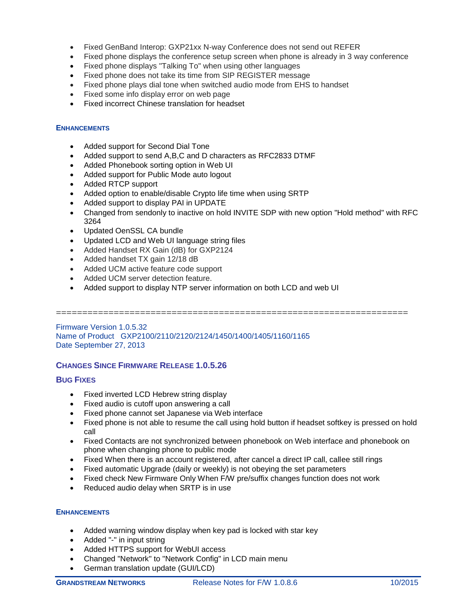- Fixed GenBand Interop: GXP21xx N-way Conference does not send out REFER
- Fixed phone displays the conference setup screen when phone is already in 3 way conference
- Fixed phone displays "Talking To" when using other languages
- Fixed phone does not take its time from SIP REGISTER message
- Fixed phone plays dial tone when switched audio mode from EHS to handset
- Fixed some info display error on web page
- Fixed incorrect Chinese translation for headset

- Added support for Second Dial Tone
- Added support to send A,B,C and D characters as RFC2833 DTMF
- Added Phonebook sorting option in Web UI
- Added support for Public Mode auto logout
- Added RTCP support
- Added option to enable/disable Crypto life time when using SRTP
- Added support to display PAI in UPDATE
- Changed from sendonly to inactive on hold INVITE SDP with new option "Hold method" with RFC 3264
- Updated OenSSL CA bundle
- Updated LCD and Web UI language string files
- Added Handset RX Gain (dB) for GXP2124
- Added handset TX gain 12/18 dB
- Added UCM active feature code support
- Added UCM server detection feature.
- Added support to display NTP server information on both LCD and web UI

===================================================================

Firmware Version 1.0.5.32 Name of Product GXP2100/2110/2120/2124/1450/1400/1405/1160/1165 Date September 27, 2013

## **CHANGES SINCE FIRMWARE RELEASE 1.0.5.26**

## **BUG FIXES**

- Fixed inverted LCD Hebrew string display
- Fixed audio is cutoff upon answering a call
- Fixed phone cannot set Japanese via Web interface
- Fixed phone is not able to resume the call using hold button if headset softkey is pressed on hold call
- Fixed Contacts are not synchronized between phonebook on Web interface and phonebook on phone when changing phone to public mode
- Fixed When there is an account registered, after cancel a direct IP call, callee still rings
- Fixed automatic Upgrade (daily or weekly) is not obeying the set parameters
- Fixed check New Firmware Only When F/W pre/suffix changes function does not work
- Reduced audio delay when SRTP is in use

- Added warning window display when key pad is locked with star key
- Added "-" in input string
- Added HTTPS support for WebUI access
- Changed "Network" to "Network Config" in LCD main menu
- German translation update (GUI/LCD)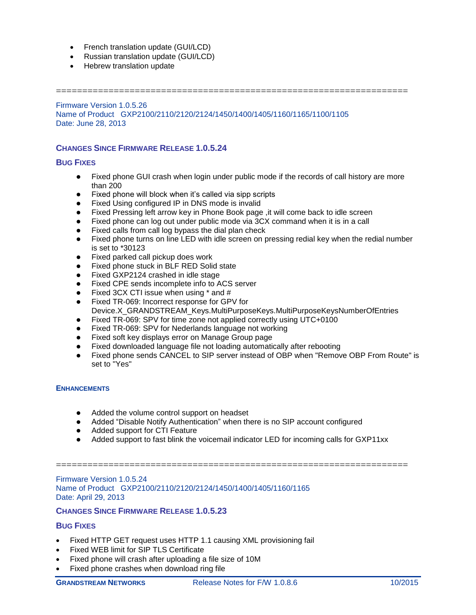- French translation update (GUI/LCD)
- Russian translation update (GUI/LCD)
- Hebrew translation update

===================================================================

Firmware Version 1.0.5.26 Name of Product GXP2100/2110/2120/2124/1450/1400/1405/1160/1165/1100/1105 Date: June 28, 2013

## **CHANGES SINCE FIRMWARE RELEASE 1.0.5.24**

## **BUG FIXES**

- Fixed phone GUI crash when login under public mode if the records of call history are more than 200
- Fixed phone will block when it's called via sipp scripts
- Fixed Using configured IP in DNS mode is invalid
- Fixed Pressing left arrow key in Phone Book page , it will come back to idle screen
- Fixed phone can log out under public mode via 3CX command when it is in a call
- Fixed calls from call log bypass the dial plan check
- Fixed phone turns on line LED with idle screen on pressing redial key when the redial number is set to \*30123
- 
- **•** Fixed parked call pickup does work<br>• Fixed phone stuck in BLF RFD Solic Fixed phone stuck in BLF RED Solid state
- Fixed GXP2124 crashed in idle stage
- Fixed CPE sends incomplete info to ACS server
- Fixed 3CX CTI issue when using \* and #
- Fixed TR-069: Incorrect response for GPV for Device.X\_GRANDSTREAM\_Keys.MultiPurposeKeys.MultiPurposeKeysNumberOfEntries
- Fixed TR-069: SPV for time zone not applied correctly using UTC+0100
- Fixed TR-069: SPV for Nederlands language not working
- Fixed soft key displays error on Manage Group page
- Fixed downloaded language file not loading automatically after rebooting
- Fixed phone sends CANCEL to SIP server instead of OBP when "Remove OBP From Route" is set to "Yes"

## **ENHANCEMENTS**

- Added the volume control support on headset
- Added "Disable Notify Authentication" when there is no SIP account configured
- Added support for CTI Feature
- Added support to fast blink the voicemail indicator LED for incoming calls for GXP11xx

===================================================================

Firmware Version 1.0.5.24 Name of Product GXP2100/2110/2120/2124/1450/1400/1405/1160/1165 Date: April 29, 2013

## **CHANGES SINCE FIRMWARE RELEASE 1.0.5.23**

- Fixed HTTP GET request uses HTTP 1.1 causing XML provisioning fail
- Fixed WEB limit for SIP TLS Certificate
- Fixed phone will crash after uploading a file size of 10M
- Fixed phone crashes when download ring file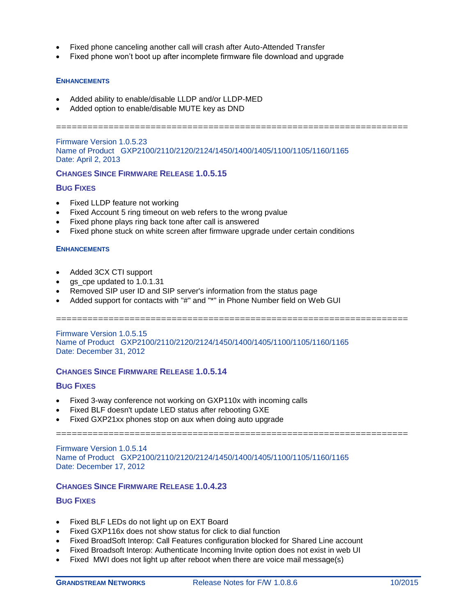- Fixed phone canceling another call will crash after Auto-Attended Transfer
- Fixed phone won't boot up after incomplete firmware file download and upgrade

- Added ability to enable/disable LLDP and/or LLDP-MED
- Added option to enable/disable MUTE key as DND

===================================================================

Firmware Version 1.0.5.23 Name of Product GXP2100/2110/2120/2124/1450/1400/1405/1100/1105/1160/1165 Date: April 2, 2013

#### **CHANGES SINCE FIRMWARE RELEASE 1.0.5.15**

#### **BUG FIXES**

- Fixed LLDP feature not working
- Fixed Account 5 ring timeout on web refers to the wrong pvalue
- Fixed phone plays ring back tone after call is answered
- Fixed phone stuck on white screen after firmware upgrade under certain conditions

#### **ENHANCEMENTS**

- Added 3CX CTI support
- gs\_cpe updated to 1.0.1.31
- Removed SIP user ID and SIP server's information from the status page
- Added support for contacts with "#" and "\*" in Phone Number field on Web GUI

===================================================================

===================================================================

Firmware Version 1.0.5.15 Name of Product GXP2100/2110/2120/2124/1450/1400/1405/1100/1105/1160/1165 Date: December 31, 2012

### **CHANGES SINCE FIRMWARE RELEASE 1.0.5.14**

#### **BUG FIXES**

- Fixed 3-way conference not working on GXP110x with incoming calls
- Fixed BLF doesn't update LED status after rebooting GXE
- Fixed GXP21xx phones stop on aux when doing auto upgrade

Firmware Version 1.0.5.14 Name of Product GXP2100/2110/2120/2124/1450/1400/1405/1100/1105/1160/1165 Date: December 17, 2012

### **CHANGES SINCE FIRMWARE RELEASE 1.0.4.23**

- Fixed BLF LEDs do not light up on EXT Board
- Fixed GXP116x does not show status for click to dial function
- Fixed BroadSoft Interop: Call Features configuration blocked for Shared Line account
- Fixed Broadsoft Interop: Authenticate Incoming Invite option does not exist in web UI
- Fixed MWI does not light up after reboot when there are voice mail message(s)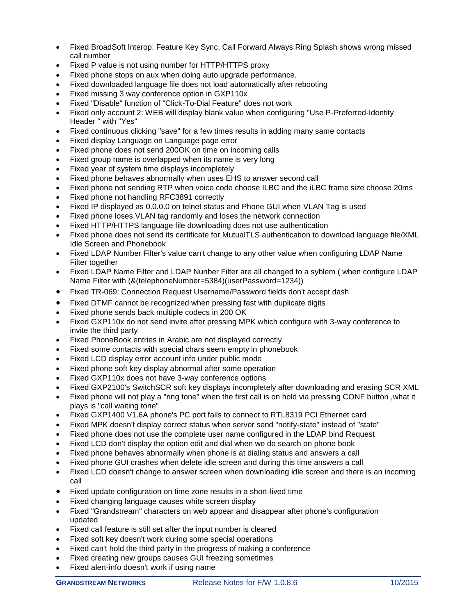- Fixed BroadSoft Interop: Feature Key Sync, Call Forward Always Ring Splash shows wrong missed call number
- Fixed P value is not using number for HTTP/HTTPS proxy
- Fixed phone stops on aux when doing auto upgrade performance.
- Fixed downloaded language file does not load automatically after rebooting
- Fixed missing 3 way conference option in GXP110x
- Fixed "Disable" function of "Click-To-Dial Feature" does not work
- Fixed only account 2: WEB will display blank value when configuring "Use P-Preferred-Identity Header " with "Yes"
- Fixed continuous clicking "save" for a few times results in adding many same contacts
- Fixed display Language on Language page error
- Fixed phone does not send 200OK on time on incoming calls
- Fixed group name is overlapped when its name is very long
- Fixed year of system time displays incompletely
- Fixed phone behaves abnormally when uses EHS to answer second call
- Fixed phone not sending RTP when voice code choose ILBC and the iLBC frame size choose 20ms
- Fixed phone not handling RFC3891 correctly
- Fixed IP displayed as 0.0.0.0 on telnet status and Phone GUI when VLAN Tag is used
- Fixed phone loses VLAN tag randomly and loses the network connection
- Fixed HTTP/HTTPS language file downloading does not use authentication
- Fixed phone does not send its certificate for MutualTLS authentication to download language file/XML Idle Screen and Phonebook
- Fixed LDAP Number Filter's value can't change to any other value when configuring LDAP Name Filter together
- Fixed LDAP Name Filter and LDAP Nunber Filter are all changed to a syblem ( when configure LDAP Name Filter with (&(telephoneNumber=5384)(userPassword=1234))
- Fixed TR-069: Connection Request Username/Password fields don't accept dash
- Fixed DTMF cannot be recognized when pressing fast with duplicate digits
- Fixed phone sends back multiple codecs in 200 OK
- Fixed GXP110x do not send invite after pressing MPK which configure with 3-way conference to invite the third party
- Fixed PhoneBook entries in Arabic are not displayed correctly
- Fixed some contacts with special chars seem empty in phonebook
- Fixed LCD display error account info under public mode
- Fixed phone soft key display abnormal after some operation
- Fixed GXP110x does not have 3-way conference options
- Fixed GXP2100's SwitchSCR soft key displays incompletely after downloading and erasing SCR XML
- Fixed phone will not play a "ring tone" when the first call is on hold via pressing CONF button ,what it plays is "call waiting tone"
- Fixed GXP1400 V1.6A phone's PC port fails to connect to RTL8319 PCI Ethernet card
- Fixed MPK doesn't display correct status when server send "notify-state" instead of "state"
- Fixed phone does not use the complete user name configured in the LDAP bind Request
- Fixed LCD don't display the option edit and dial when we do search on phone book
- Fixed phone behaves abnormally when phone is at dialing status and answers a call
- Fixed phone GUI crashes when delete idle screen and during this time answers a call
- Fixed LCD doesn't change to answer screen when downloading idle screen and there is an incoming call
- Fixed update configuration on time zone results in a short-lived time
- Fixed changing language causes white screen display
- Fixed "Grandstream" characters on web appear and disappear after phone's configuration updated
- Fixed call feature is still set after the input number is cleared
- Fixed soft key doesn't work during some special operations
- Fixed can't hold the third party in the progress of making a conference
- Fixed creating new groups causes GUI freezing sometimes
- Fixed alert-info doesn't work if using name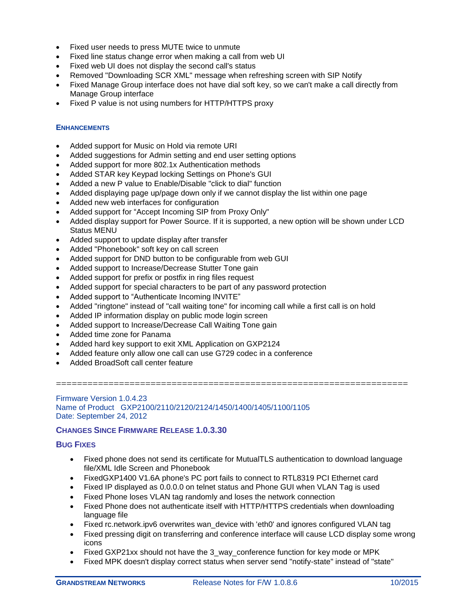- Fixed user needs to press MUTE twice to unmute
- Fixed line status change error when making a call from web UI
- Fixed web UI does not display the second call's status
- Removed "Downloading SCR XML" message when refreshing screen with SIP Notify
- Fixed Manage Group interface does not have dial soft key, so we can't make a call directly from Manage Group interface
- Fixed P value is not using numbers for HTTP/HTTPS proxy

- Added support for Music on Hold via remote URI
- Added suggestions for Admin setting and end user setting options
- Added support for more 802.1x Authentication methods
- Added STAR key Keypad locking Settings on Phone's GUI
- Added a new P value to Enable/Disable "click to dial" function
- Added displaying page up/page down only if we cannot display the list within one page
- Added new web interfaces for configuration
- Added support for "Accept Incoming SIP from Proxy Only"
- Added display support for Power Source. If it is supported, a new option will be shown under LCD Status MENU
- Added support to update display after transfer
- Added "Phonebook" soft key on call screen
- Added support for DND button to be configurable from web GUI
- Added support to Increase/Decrease Stutter Tone gain
- Added support for prefix or postfix in ring files request
- Added support for special characters to be part of any password protection
- Added support to "Authenticate Incoming INVITE"
- Added "ringtone" instead of "call waiting tone" for incoming call while a first call is on hold
- Added IP information display on public mode login screen
- Added support to Increase/Decrease Call Waiting Tone gain
- Added time zone for Panama
- Added hard key support to exit XML Application on GXP2124
- Added feature only allow one call can use G729 codec in a conference
- Added BroadSoft call center feature

===================================================================

#### Firmware Version 1.0.4.23 Name of Product GXP2100/2110/2120/2124/1450/1400/1405/1100/1105 Date: September 24, 2012

### **CHANGES SINCE FIRMWARE RELEASE 1.0.3.30**

- Fixed phone does not send its certificate for MutualTLS authentication to download language file/XML Idle Screen and Phonebook
- FixedGXP1400 V1.6A phone's PC port fails to connect to RTL8319 PCI Ethernet card
- Fixed IP displayed as 0.0.0.0 on telnet status and Phone GUI when VLAN Tag is used
- Fixed Phone loses VLAN tag randomly and loses the network connection
- Fixed Phone does not authenticate itself with HTTP/HTTPS credentials when downloading language file
- Fixed rc.network.ipv6 overwrites wan device with 'eth0' and ignores configured VLAN tag
- Fixed pressing digit on transferring and conference interface will cause LCD display some wrong icons
- Fixed GXP21xx should not have the 3\_way\_conference function for key mode or MPK
- Fixed MPK doesn't display correct status when server send "notify-state" instead of "state"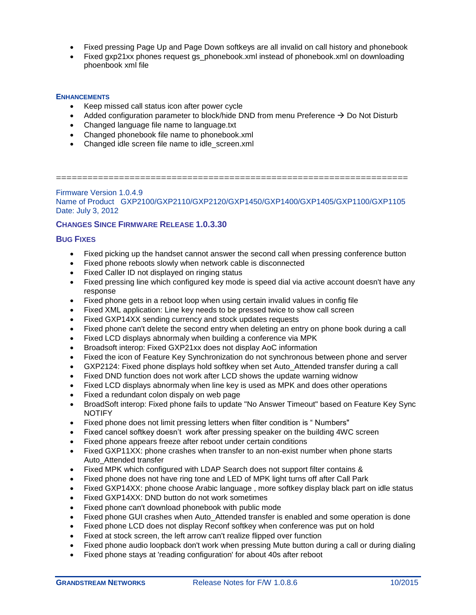- Fixed pressing Page Up and Page Down softkeys are all invalid on call history and phonebook
- Fixed gxp21xx phones request gs\_phonebook.xml instead of phonebook.xml on downloading phoenbook xml file

- Keep missed call status icon after power cycle
- Added configuration parameter to block/hide DND from menu Preference  $\rightarrow$  Do Not Disturb
- Changed language file name to language.txt
- Changed phonebook file name to phonebook.xml
- Changed idle screen file name to idle screen.xml

===================================================================

Firmware Version 1.0.4.9 Name of Product GXP2100/GXP2110/GXP2120/GXP1450/GXP1400/GXP1405/GXP1100/GXP1105 Date: July 3, 2012

## **CHANGES SINCE FIRMWARE RELEASE 1.0.3.30**

- Fixed picking up the handset cannot answer the second call when pressing conference button
- Fixed phone reboots slowly when network cable is disconnected
- Fixed Caller ID not displayed on ringing status
- Fixed pressing line which configured key mode is speed dial via active account doesn't have any response
- Fixed phone gets in a reboot loop when using certain invalid values in config file
- Fixed XML application: Line key needs to be pressed twice to show call screen
- Fixed GXP14XX sending currency and stock updates requests
- Fixed phone can't delete the second entry when deleting an entry on phone book during a call
- Fixed LCD displays abnormaly when building a conference via MPK
- Broadsoft interop: Fixed GXP21xx does not display AoC information
- Fixed the icon of Feature Key Synchronization do not synchronous between phone and server
- GXP2124: Fixed phone displays hold softkey when set Auto\_Attended transfer during a call
- Fixed DND function does not work after LCD shows the update warning widnow
- Fixed LCD displays abnormaly when line key is used as MPK and does other operations
- Fixed a redundant colon dispaly on web page
- BroadSoft interop: Fixed phone fails to update "No Answer Timeout" based on Feature Key Sync NOTIFY
- Fixed phone does not limit pressing letters when filter condition is " Numbers"
- Fixed cancel softkey doesn't work after pressing speaker on the building 4WC screen
- Fixed phone appears freeze after reboot under certain conditions
- Fixed GXP11XX: phone crashes when transfer to an non-exist number when phone starts Auto\_Attended transfer
- Fixed MPK which configured with LDAP Search does not support filter contains &
- Fixed phone does not have ring tone and LED of MPK light turns off after Call Park
- Fixed GXP14XX: phone choose Arabic language, more softkey display black part on idle status
- Fixed GXP14XX: DND button do not work sometimes
- Fixed phone can't download phonebook with public mode
- Fixed phone GUI crashes when Auto Attended transfer is enabled and some operation is done
- Fixed phone LCD does not display Reconf softkey when conference was put on hold
- Fixed at stock screen, the left arrow can't realize flipped over function
- Fixed phone audio loopback don't work when pressing Mute button during a call or during dialing
- Fixed phone stays at 'reading configuration' for about 40s after reboot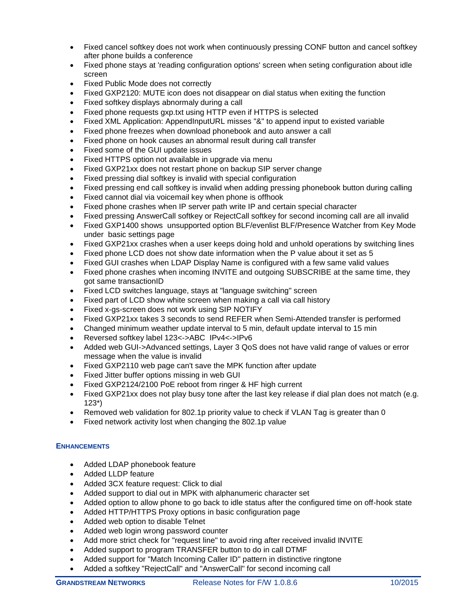- Fixed cancel softkey does not work when continuously pressing CONF button and cancel softkey after phone builds a conference
- Fixed phone stays at 'reading configuration options' screen when seting configuration about idle screen
- Fixed Public Mode does not correctly
- Fixed GXP2120: MUTE icon does not disappear on dial status when exiting the function
- Fixed softkey displays abnormaly during a call
- Fixed phone requests gxp.txt using HTTP even if HTTPS is selected
- Fixed XML Application: AppendInputURL misses "&" to append input to existed variable
- Fixed phone freezes when download phonebook and auto answer a call
- Fixed phone on hook causes an abnormal result during call transfer
- Fixed some of the GUI update issues
- Fixed HTTPS option not available in upgrade via menu
- Fixed GXP21xx does not restart phone on backup SIP server change
- Fixed pressing dial softkey is invalid with special configuration
- Fixed pressing end call softkey is invalid when adding pressing phonebook button during calling
- Fixed cannot dial via voicemail key when phone is offhook
- Fixed phone crashes when IP server path write IP and certain special character
- Fixed pressing AnswerCall softkey or RejectCall softkey for second incoming call are all invalid
- Fixed GXP1400 shows unsupported option BLF/evenlist BLF/Presence Watcher from Key Mode under basic settings page
- Fixed GXP21xx crashes when a user keeps doing hold and unhold operations by switching lines
- Fixed phone LCD does not show date information when the P value about it set as 5
- Fixed GUI crashes when LDAP Display Name is configured with a few same valid values
- Fixed phone crashes when incoming INVITE and outgoing SUBSCRIBE at the same time, they got same transactionID
- Fixed LCD switches language, stays at "language switching" screen
- Fixed part of LCD show white screen when making a call via call history
- Fixed x-gs-screen does not work using SIP NOTIFY
- Fixed GXP21xx takes 3 seconds to send REFER when Semi-Attended transfer is performed
- Changed minimum weather update interval to 5 min, default update interval to 15 min
- Reversed softkey label 123<->ABC IPv4<->IPv6
- Added web GUI->Advanced settings, Layer 3 QoS does not have valid range of values or error message when the value is invalid
- Fixed GXP2110 web page can't save the MPK function after update
- Fixed Jitter buffer options missing in web GUI
- Fixed GXP2124/2100 PoE reboot from ringer & HF high current
- Fixed GXP21xx does not play busy tone after the last key release if dial plan does not match (e.g. 123\*)
- Removed web validation for 802.1p priority value to check if VLAN Tag is greater than 0
- Fixed network activity lost when changing the 802.1p value

- Added LDAP phonebook feature
- Added LLDP feature
- Added 3CX feature request: Click to dial
- Added support to dial out in MPK with alphanumeric character set
- Added option to allow phone to go back to idle status after the configured time on off-hook state
- Added HTTP/HTTPS Proxy options in basic configuration page
- Added web option to disable Telnet
- Added web login wrong password counter
- Add more strict check for "request line" to avoid ring after received invalid INVITE
- Added support to program TRANSFER button to do in call DTMF
- Added support for "Match Incoming Caller ID" pattern in distinctive ringtone
- Added a softkey "RejectCall" and "AnswerCall" for second incoming call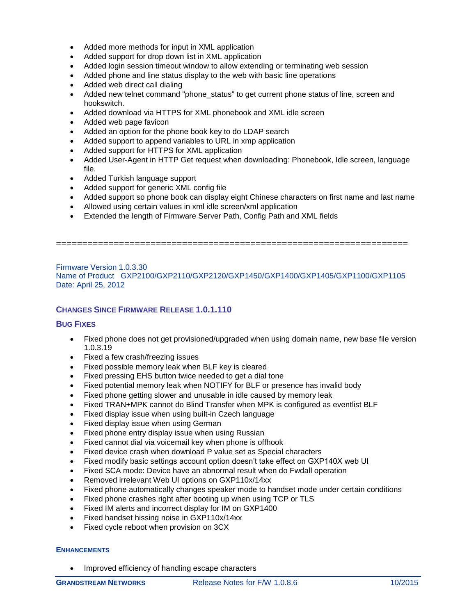- Added more methods for input in XML application
- Added support for drop down list in XML application
- Added login session timeout window to allow extending or terminating web session
- Added phone and line status display to the web with basic line operations
- Added web direct call dialing
- Added new telnet command "phone\_status" to get current phone status of line, screen and hookswitch.
- Added download via HTTPS for XML phonebook and XML idle screen
- Added web page favicon
- Added an option for the phone book key to do LDAP search
- Added support to append variables to URL in xmp application
- Added support for HTTPS for XML application
- Added User-Agent in HTTP Get request when downloading: Phonebook, Idle screen, language file.
- Added Turkish language support
- Added support for generic XML config file
- Added support so phone book can display eight Chinese characters on first name and last name
- Allowed using certain values in xml idle screen/xml application
- Extended the length of Firmware Server Path, Config Path and XML fields

Firmware Version 1.0.3.30 Name of Product GXP2100/GXP2110/GXP2120/GXP1450/GXP1400/GXP1405/GXP1100/GXP1105 Date: April 25, 2012

===================================================================

## **CHANGES SINCE FIRMWARE RELEASE 1.0.1.110**

## **BUG FIXES**

- Fixed phone does not get provisioned/upgraded when using domain name, new base file version 1.0.3.19
- Fixed a few crash/freezing issues
- Fixed possible memory leak when BLF key is cleared
- Fixed pressing EHS button twice needed to get a dial tone
- Fixed potential memory leak when NOTIFY for BLF or presence has invalid body
- Fixed phone getting slower and unusable in idle caused by memory leak
- Fixed TRAN+MPK cannot do Blind Transfer when MPK is configured as eventlist BLF
- Fixed display issue when using built-in Czech language
- Fixed display issue when using German
- Fixed phone entry display issue when using Russian
- Fixed cannot dial via voicemail key when phone is offhook
- Fixed device crash when download P value set as Special characters
- Fixed modify basic settings account option doesn't take effect on GXP140X web UI
- Fixed SCA mode: Device have an abnormal result when do Fwdall operation
- Removed irrelevant Web UI options on GXP110x/14xx
- Fixed phone automatically changes speaker mode to handset mode under certain conditions
- Fixed phone crashes right after booting up when using TCP or TLS
- Fixed IM alerts and incorrect display for IM on GXP1400
- Fixed handset hissing noise in GXP110x/14xx
- Fixed cycle reboot when provision on 3CX

### **ENHANCEMENTS**

• Improved efficiency of handling escape characters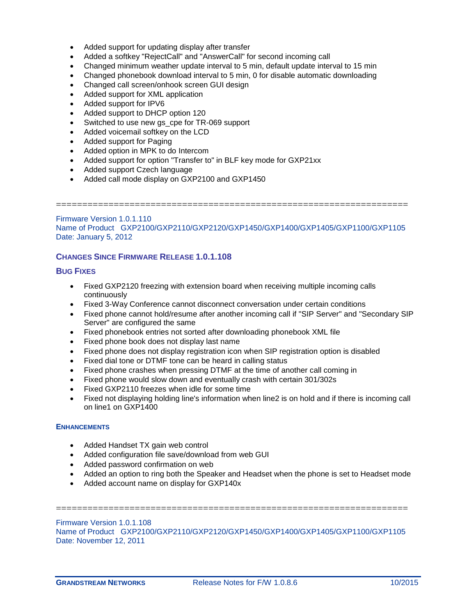- Added support for updating display after transfer
- Added a softkey "RejectCall" and "AnswerCall" for second incoming call
- Changed minimum weather update interval to 5 min, default update interval to 15 min
- Changed phonebook download interval to 5 min, 0 for disable automatic downloading
- Changed call screen/onhook screen GUI design
- Added support for XML application
- Added support for IPV6
- Added support to DHCP option 120
- Switched to use new gs\_cpe for TR-069 support
- Added voicemail softkey on the LCD
- Added support for Paging
- Added option in MPK to do Intercom
- Added support for option "Transfer to" in BLF key mode for GXP21xx
- Added support Czech language
- Added call mode display on GXP2100 and GXP1450

===================================================================

Firmware Version 1.0.1.110 Name of Product GXP2100/GXP2110/GXP2120/GXP1450/GXP1400/GXP1405/GXP1100/GXP1105 Date: January 5, 2012

# **CHANGES SINCE FIRMWARE RELEASE 1.0.1.108**

## **BUG FIXES**

- Fixed GXP2120 freezing with extension board when receiving multiple incoming calls continuously
- Fixed 3-Way Conference cannot disconnect conversation under certain conditions
- Fixed phone cannot hold/resume after another incoming call if "SIP Server" and "Secondary SIP Server" are configured the same
- Fixed phonebook entries not sorted after downloading phonebook XML file
- Fixed phone book does not display last name
- Fixed phone does not display registration icon when SIP registration option is disabled
- Fixed dial tone or DTMF tone can be heard in calling status
- Fixed phone crashes when pressing DTMF at the time of another call coming in
- Fixed phone would slow down and eventually crash with certain 301/302s
- Fixed GXP2110 freezes when idle for some time
- Fixed not displaying holding line's information when line2 is on hold and if there is incoming call on line1 on GXP1400

## **ENHANCEMENTS**

- Added Handset TX gain web control
- Added configuration file save/download from web GUI
- Added password confirmation on web
- Added an option to ring both the Speaker and Headset when the phone is set to Headset mode
- Added account name on display for GXP140x

Firmware Version 1.0.1.108 Name of Product GXP2100/GXP2110/GXP2120/GXP1450/GXP1400/GXP1405/GXP1100/GXP1105 Date: November 12, 2011

===================================================================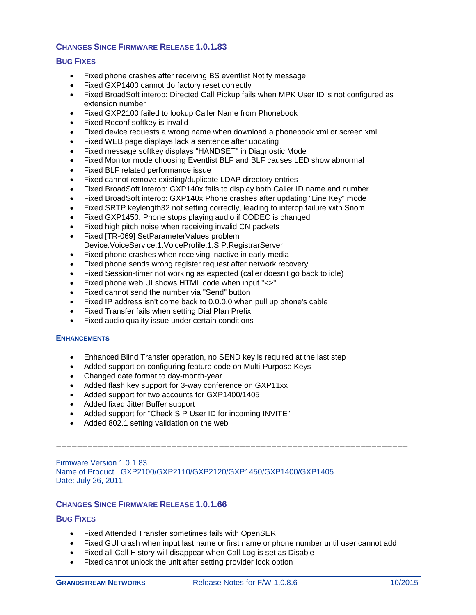# **CHANGES SINCE FIRMWARE RELEASE 1.0.1.83**

## **BUG FIXES**

- Fixed phone crashes after receiving BS eventlist Notify message
- Fixed GXP1400 cannot do factory reset correctly
- Fixed BroadSoft interop: Directed Call Pickup fails when MPK User ID is not configured as extension number
- Fixed GXP2100 failed to lookup Caller Name from Phonebook
- Fixed Reconf softkey is invalid
- Fixed device requests a wrong name when download a phonebook xml or screen xml
- Fixed WEB page diaplays lack a sentence after updating
- Fixed message softkey displays "HANDSET" in Diagnostic Mode
- Fixed Monitor mode choosing Eventlist BLF and BLF causes LED show abnormal
- Fixed BLF related performance issue
- Fixed cannot remove existing/duplicate LDAP directory entries
- Fixed BroadSoft interop: GXP140x fails to display both Caller ID name and number
- Fixed BroadSoft interop: GXP140x Phone crashes after updating "Line Key" mode
- Fixed SRTP keylength32 not setting correctly, leading to interop failure with Snom
- Fixed GXP1450: Phone stops playing audio if CODEC is changed
- Fixed high pitch noise when receiving invalid CN packets
- Fixed [TR-069] SetParameterValues problem Device.VoiceService.1.VoiceProfile.1.SIP.RegistrarServer
- Fixed phone crashes when receiving inactive in early media
- Fixed phone sends wrong register request after network recovery
- Fixed Session-timer not working as expected (caller doesn't go back to idle)
- Fixed phone web UI shows HTML code when input "<>"
- Fixed cannot send the number via "Send" button
- Fixed IP address isn't come back to 0.0.0.0 when pull up phone's cable
- Fixed Transfer fails when setting Dial Plan Prefix
- Fixed audio quality issue under certain conditions

### **ENHANCEMENTS**

- Enhanced Blind Transfer operation, no SEND key is required at the last step
- Added support on configuring feature code on Multi-Purpose Keys
- Changed date format to day-month-year
- Added flash key support for 3-way conference on GXP11xx
- Added support for two accounts for GXP1400/1405
- Added fixed Jitter Buffer support
- Added support for "Check SIP User ID for incoming INVITE"
- Added 802.1 setting validation on the web

Firmware Version 1.0.1.83 Name of Product GXP2100/GXP2110/GXP2120/GXP1450/GXP1400/GXP1405 Date: July 26, 2011

## **CHANGES SINCE FIRMWARE RELEASE 1.0.1.66**

### **BUG FIXES**

- Fixed Attended Transfer sometimes fails with OpenSER
- Fixed GUI crash when input last name or first name or phone number until user cannot add

===================================================================

- Fixed all Call History will disappear when Call Log is set as Disable
- Fixed cannot unlock the unit after setting provider lock option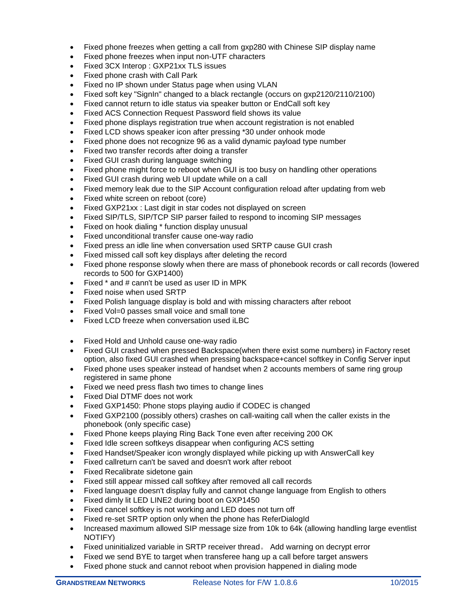- Fixed phone freezes when getting a call from gxp280 with Chinese SIP display name
- Fixed phone freezes when input non-UTF characters
- Fixed 3CX Interop : GXP21xx TLS issues
- Fixed phone crash with Call Park
- Fixed no IP shown under Status page when using VLAN
- Fixed soft key "SignIn" changed to a black rectangle (occurs on gxp2120/2110/2100)
- Fixed cannot return to idle status via speaker button or EndCall soft key
- Fixed ACS Connection Request Password field shows its value
- Fixed phone displays registration true when account registration is not enabled
- Fixed LCD shows speaker icon after pressing \*30 under onhook mode
- Fixed phone does not recognize 96 as a valid dynamic payload type number
- Fixed two transfer records after doing a transfer
- Fixed GUI crash during language switching
- Fixed phone might force to reboot when GUI is too busy on handling other operations
- Fixed GUI crash during web UI update while on a call
- Fixed memory leak due to the SIP Account configuration reload after updating from web
- Fixed white screen on reboot (core)
- Fixed GXP21xx : Last digit in star codes not displayed on screen
- Fixed SIP/TLS, SIP/TCP SIP parser failed to respond to incoming SIP messages
- Fixed on hook dialing \* function display unusual
- Fixed unconditional transfer cause one-way radio
- Fixed press an idle line when conversation used SRTP cause GUI crash
- Fixed missed call soft key displays after deleting the record
- Fixed phone response slowly when there are mass of phonebook records or call records (lowered records to 500 for GXP1400)
- Fixed \* and # cann't be used as user ID in MPK
- Fixed noise when used SRTP
- Fixed Polish language display is bold and with missing characters after reboot
- Fixed Vol=0 passes small voice and small tone
- Fixed LCD freeze when conversation used iLBC
- Fixed Hold and Unhold cause one-way radio
- Fixed GUI crashed when pressed Backspace(when there exist some numbers) in Factory reset option, also fixed GUI crashed when pressing backspace+cancel softkey in Config Server input
- Fixed phone uses speaker instead of handset when 2 accounts members of same ring group registered in same phone
- Fixed we need press flash two times to change lines
- Fixed Dial DTMF does not work
- Fixed GXP1450: Phone stops playing audio if CODEC is changed
- Fixed GXP2100 (possibly others) crashes on call-waiting call when the caller exists in the phonebook (only specific case)
- Fixed Phone keeps playing Ring Back Tone even after receiving 200 OK
- Fixed Idle screen softkeys disappear when configuring ACS setting
- Fixed Handset/Speaker icon wrongly displayed while picking up with AnswerCall key
- Fixed callreturn can't be saved and doesn't work after reboot
- Fixed Recalibrate sidetone gain
- Fixed still appear missed call softkey after removed all call records
- Fixed language doesn't display fully and cannot change language from English to others
- Fixed dimly lit LED LINE2 during boot on GXP1450
- Fixed cancel softkey is not working and LED does not turn off
- Fixed re-set SRTP option only when the phone has ReferDialogId
- Increased maximum allowed SIP message size from 10k to 64k (allowing handling large eventlist NOTIFY)
- Fixed uninitialized variable in SRTP receiver thread。 Add warning on decrypt error
- Fixed we send BYE to target when transferee hang up a call before target answers
- Fixed phone stuck and cannot reboot when provision happened in dialing mode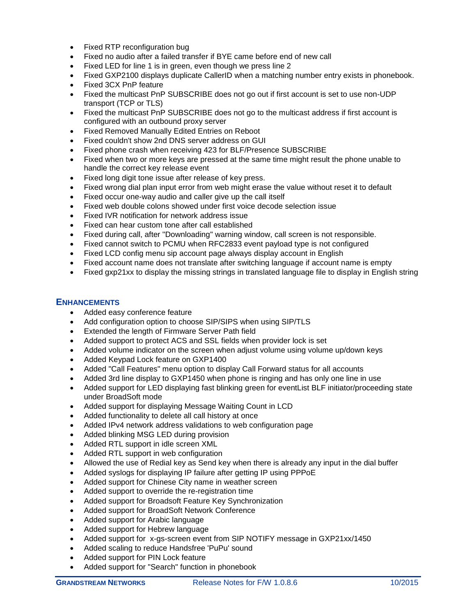- Fixed RTP reconfiguration bug
- Fixed no audio after a failed transfer if BYE came before end of new call
- Fixed LED for line 1 is in green, even though we press line 2
- Fixed GXP2100 displays duplicate CallerID when a matching number entry exists in phonebook.
- Fixed 3CX PnP feature
- Fixed the multicast PnP SUBSCRIBE does not go out if first account is set to use non-UDP transport (TCP or TLS)
- Fixed the multicast PnP SUBSCRIBE does not go to the multicast address if first account is configured with an outbound proxy server
- Fixed Removed Manually Edited Entries on Reboot
- Fixed couldn't show 2nd DNS server address on GUI
- Fixed phone crash when receiving 423 for BLF/Presence SUBSCRIBE
- Fixed when two or more keys are pressed at the same time might result the phone unable to handle the correct key release event
- Fixed long digit tone issue after release of key press.
- Fixed wrong dial plan input error from web might erase the value without reset it to default
- Fixed occur one-way audio and caller give up the call itself
- Fixed web double colons showed under first voice decode selection issue
- Fixed IVR notification for network address issue
- Fixed can hear custom tone after call established
- Fixed during call, after "Downloading" warning window, call screen is not responsible.
- Fixed cannot switch to PCMU when RFC2833 event payload type is not configured
- Fixed LCD config menu sip account page always display account in English
- Fixed account name does not translate after switching language if account name is empty
- Fixed gxp21xx to display the missing strings in translated language file to display in English string

- Added easy conference feature
- Add configuration option to choose SIP/SIPS when using SIP/TLS
- Extended the length of Firmware Server Path field
- Added support to protect ACS and SSL fields when provider lock is set
- Added volume indicator on the screen when adjust volume using volume up/down keys
- Added Keypad Lock feature on GXP1400
- Added "Call Features" menu option to display Call Forward status for all accounts
- Added 3rd line display to GXP1450 when phone is ringing and has only one line in use
- Added support for LED displaying fast blinking green for eventList BLF initiator/proceeding state under BroadSoft mode
- Added support for displaying Message Waiting Count in LCD
- Added functionality to delete all call history at once
- Added IPv4 network address validations to web configuration page
- Added blinking MSG LED during provision
- Added RTL support in idle screen XML
- Added RTL support in web configuration
- Allowed the use of Redial key as Send key when there is already any input in the dial buffer
- Added syslogs for displaying IP failure after getting IP using PPPoE
- Added support for Chinese City name in weather screen
- Added support to override the re-registration time
- Added support for Broadsoft Feature Key Synchronization
- Added support for BroadSoft Network Conference
- Added support for Arabic language
- Added support for Hebrew language
- Added support for x-gs-screen event from SIP NOTIFY message in GXP21xx/1450
- Added scaling to reduce Handsfree 'PuPu' sound
- Added support for PIN Lock feature
- Added support for "Search" function in phonebook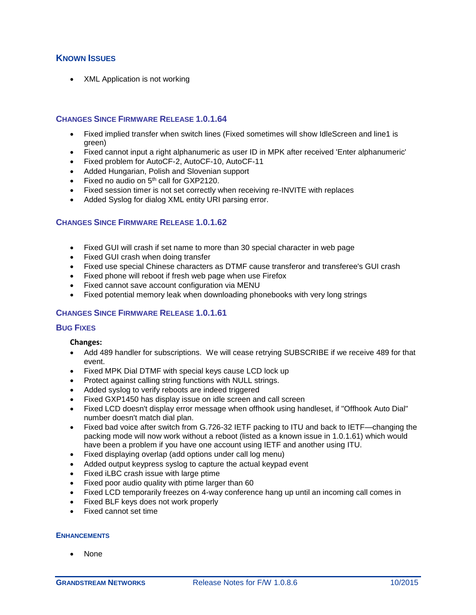# **KNOWN ISSUES**

• XML Application is not working

## **CHANGES SINCE FIRMWARE RELEASE 1.0.1.64**

- Fixed implied transfer when switch lines (Fixed sometimes will show IdleScreen and line1 is green)
- Fixed cannot input a right alphanumeric as user ID in MPK after received 'Enter alphanumeric'
- Fixed problem for AutoCF-2, AutoCF-10, AutoCF-11
- Added Hungarian, Polish and Slovenian support
- Fixed no audio on  $5<sup>th</sup>$  call for GXP2120.
- Fixed session timer is not set correctly when receiving re-INVITE with replaces
- Added Syslog for dialog XML entity URI parsing error.

# **CHANGES SINCE FIRMWARE RELEASE 1.0.1.62**

- Fixed GUI will crash if set name to more than 30 special character in web page
- Fixed GUI crash when doing transfer
- Fixed use special Chinese characters as DTMF cause transferor and transferee's GUI crash
- Fixed phone will reboot if fresh web page when use Firefox
- Fixed cannot save account configuration via MENU
- Fixed potential memory leak when downloading phonebooks with very long strings

## **CHANGES SINCE FIRMWARE RELEASE 1.0.1.61**

#### **BUG FIXES**

**Changes:**

- Add 489 handler for subscriptions. We will cease retrying SUBSCRIBE if we receive 489 for that event.
- Fixed MPK Dial DTMF with special keys cause LCD lock up
- Protect against calling string functions with NULL strings.
- Added syslog to verify reboots are indeed triggered
- Fixed GXP1450 has display issue on idle screen and call screen
- Fixed LCD doesn't display error message when offhook using handleset, if "Offhook Auto Dial" number doesn't match dial plan.
- Fixed bad voice after switch from G.726-32 IETF packing to ITU and back to IETF—changing the packing mode will now work without a reboot (listed as a known issue in 1.0.1.61) which would have been a problem if you have one account using IETF and another using ITU.
- Fixed displaying overlap (add options under call log menu)
- Added output keypress syslog to capture the actual keypad event
- Fixed iLBC crash issue with large ptime
- Fixed poor audio quality with ptime larger than 60
- Fixed LCD temporarily freezes on 4-way conference hang up until an incoming call comes in
- Fixed BLF keys does not work properly
- Fixed cannot set time

#### **ENHANCEMENTS**

None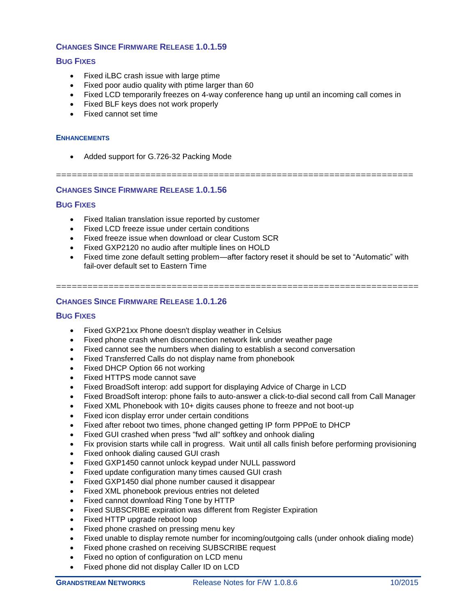# **CHANGES SINCE FIRMWARE RELEASE 1.0.1.59**

## **BUG FIXES**

- Fixed iLBC crash issue with large ptime
- Fixed poor audio quality with ptime larger than 60
- Fixed LCD temporarily freezes on 4-way conference hang up until an incoming call comes in
- Fixed BLF keys does not work properly
- Fixed cannot set time

#### **ENHANCEMENTS**

• Added support for G.726-32 Packing Mode

# ====================================================================

# **CHANGES SINCE FIRMWARE RELEASE 1.0.1.56**

## **BUG FIXES**

- Fixed Italian translation issue reported by customer
- Fixed LCD freeze issue under certain conditions
- Fixed freeze issue when download or clear Custom SCR
- Fixed GXP2120 no audio after multiple lines on HOLD
- Fixed time zone default setting problem—after factory reset it should be set to "Automatic" with fail-over default set to Eastern Time

=====================================================================

## **CHANGES SINCE FIRMWARE RELEASE 1.0.1.26**

- Fixed GXP21xx Phone doesn't display weather in Celsius
- Fixed phone crash when disconnection network link under weather page
- Fixed cannot see the numbers when dialing to establish a second conversation
- Fixed Transferred Calls do not display name from phonebook
- Fixed DHCP Option 66 not working
- Fixed HTTPS mode cannot save
- Fixed BroadSoft interop: add support for displaying Advice of Charge in LCD
- Fixed BroadSoft interop: phone fails to auto-answer a click-to-dial second call from Call Manager
- Fixed XML Phonebook with 10+ digits causes phone to freeze and not boot-up
- Fixed icon display error under certain conditions
- Fixed after reboot two times, phone changed getting IP form PPPoE to DHCP
- Fixed GUI crashed when press "fwd all" softkey and onhook dialing
- Fix provision starts while call in progress. Wait until all calls finish before performing provisioning
- Fixed onhook dialing caused GUI crash
- Fixed GXP1450 cannot unlock keypad under NULL password
- Fixed update configuration many times caused GUI crash
- Fixed GXP1450 dial phone number caused it disappear
- Fixed XML phonebook previous entries not deleted
- Fixed cannot download Ring Tone by HTTP
- Fixed SUBSCRIBE expiration was different from Register Expiration
- Fixed HTTP upgrade reboot loop
- Fixed phone crashed on pressing menu key
- Fixed unable to display remote number for incoming/outgoing calls (under onhook dialing mode)
- Fixed phone crashed on receiving SUBSCRIBE request
- Fixed no option of configuration on LCD menu
- Fixed phone did not display Caller ID on LCD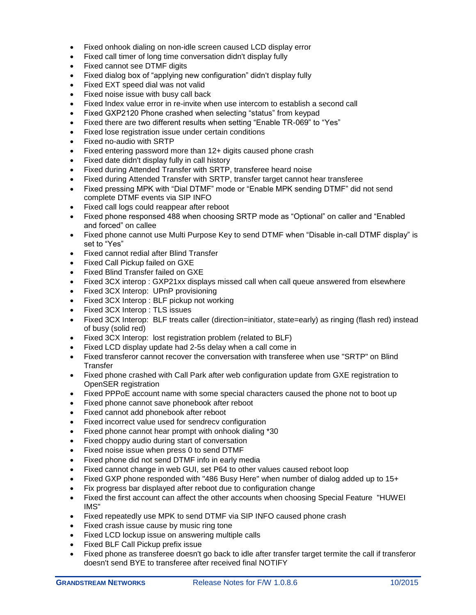- Fixed onhook dialing on non-idle screen caused LCD display error
- Fixed call timer of long time conversation didn't display fully
- Fixed cannot see DTMF digits
- Fixed dialog box of "applying new configuration" didn't display fully
- Fixed EXT speed dial was not valid
- Fixed noise issue with busy call back
- Fixed Index value error in re-invite when use intercom to establish a second call
- Fixed GXP2120 Phone crashed when selecting "status" from keypad
- Fixed there are two different results when setting "Enable TR-069" to "Yes"
- Fixed lose registration issue under certain conditions
- Fixed no-audio with SRTP
- Fixed entering password more than 12+ digits caused phone crash
- Fixed date didn't display fully in call history
- Fixed during Attended Transfer with SRTP, transferee heard noise
- Fixed during Attended Transfer with SRTP, transfer target cannot hear transferee
- Fixed pressing MPK with "Dial DTMF" mode or "Enable MPK sending DTMF" did not send complete DTMF events via SIP INFO
- Fixed call logs could reappear after reboot
- Fixed phone responsed 488 when choosing SRTP mode as "Optional" on caller and "Enabled and forced" on callee
- Fixed phone cannot use Multi Purpose Key to send DTMF when "Disable in-call DTMF display" is set to "Yes"
- Fixed cannot redial after Blind Transfer
- Fixed Call Pickup failed on GXE
- Fixed Blind Transfer failed on GXE
- Fixed 3CX interop : GXP21xx displays missed call when call queue answered from elsewhere
- Fixed 3CX Interop: UPnP provisioning
- Fixed 3CX Interop : BLF pickup not working
- Fixed 3CX Interop: TLS issues
- Fixed 3CX Interop: BLF treats caller (direction=initiator, state=early) as ringing (flash red) instead of busy (solid red)
- Fixed 3CX Interop: lost registration problem (related to BLF)
- Fixed LCD display update had 2-5s delay when a call come in
- Fixed transferor cannot recover the conversation with transferee when use "SRTP" on Blind **Transfer**
- Fixed phone crashed with Call Park after web configuration update from GXE registration to OpenSER registration
- Fixed PPPoE account name with some special characters caused the phone not to boot up
- Fixed phone cannot save phonebook after reboot
- Fixed cannot add phonebook after reboot
- Fixed incorrect value used for sendrecv configuration
- Fixed phone cannot hear prompt with onhook dialing \*30
- Fixed choppy audio during start of conversation
- Fixed noise issue when press 0 to send DTMF
- Fixed phone did not send DTMF info in early media
- Fixed cannot change in web GUI, set P64 to other values caused reboot loop
- Fixed GXP phone responded with "486 Busy Here" when number of dialog added up to 15+
- Fix progress bar displayed after reboot due to configuration change
- Fixed the first account can affect the other accounts when choosing Special Feature "HUWEI IMS"
- Fixed repeatedly use MPK to send DTMF via SIP INFO caused phone crash
- Fixed crash issue cause by music ring tone
- Fixed LCD lockup issue on answering multiple calls
- Fixed BLF Call Pickup prefix issue
- Fixed phone as transferee doesn't go back to idle after transfer target termite the call if transferor doesn't send BYE to transferee after received final NOTIFY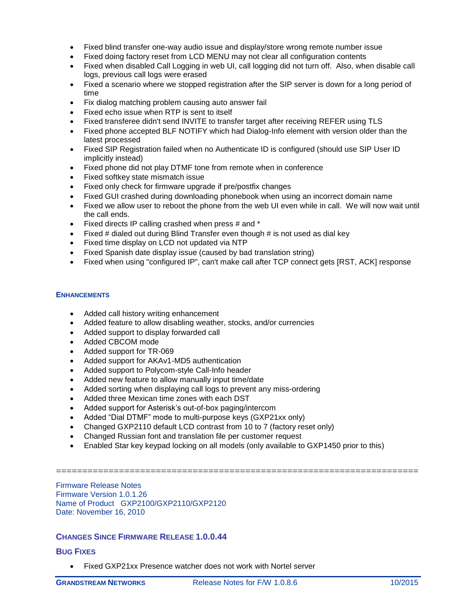- Fixed blind transfer one-way audio issue and display/store wrong remote number issue
- Fixed doing factory reset from LCD MENU may not clear all configuration contents
- Fixed when disabled Call Logging in web UI, call logging did not turn off. Also, when disable call logs, previous call logs were erased
- Fixed a scenario where we stopped registration after the SIP server is down for a long period of time
- Fix dialog matching problem causing auto answer fail
- Fixed echo issue when RTP is sent to itself
- Fixed transferee didn't send INVITE to transfer target after receiving REFER using TLS
- Fixed phone accepted BLF NOTIFY which had Dialog-Info element with version older than the latest processed
- Fixed SIP Registration failed when no Authenticate ID is configured (should use SIP User ID implicitly instead)
- Fixed phone did not play DTMF tone from remote when in conference
- Fixed softkey state mismatch issue
- Fixed only check for firmware upgrade if pre/postfix changes
- Fixed GUI crashed during downloading phonebook when using an incorrect domain name
- Fixed we allow user to reboot the phone from the web UI even while in call. We will now wait until the call ends.
- $\bullet$  Fixed directs IP calling crashed when press # and  $\ast$
- Fixed  $#$  dialed out during Blind Transfer even though  $#$  is not used as dial key
- Fixed time display on LCD not updated via NTP
- Fixed Spanish date display issue (caused by bad translation string)
- Fixed when using "configured IP", can't make call after TCP connect gets [RST, ACK] response

- Added call history writing enhancement
- Added feature to allow disabling weather, stocks, and/or currencies
- Added support to display forwarded call
- Added CBCOM mode
- Added support for TR-069
- Added support for AKAv1-MD5 authentication
- Added support to Polycom-style Call-Info header
- Added new feature to allow manually input time/date
- Added sorting when displaying call logs to prevent any miss-ordering
- Added three Mexican time zones with each DST
- Added support for Asterisk's out-of-box paging/intercom
- Added "Dial DTMF" mode to multi-purpose keys (GXP21xx only)
- Changed GXP2110 default LCD contrast from 10 to 7 (factory reset only)
- Changed Russian font and translation file per customer request
- Enabled Star key keypad locking on all models (only available to GXP1450 prior to this)

=====================================================================

Firmware Release Notes Firmware Version 1.0.1.26 Name of Product GXP2100/GXP2110/GXP2120 Date: November 16, 2010

## **CHANGES SINCE FIRMWARE RELEASE 1.0.0.44**

## **BUG FIXES**

Fixed GXP21xx Presence watcher does not work with Nortel server